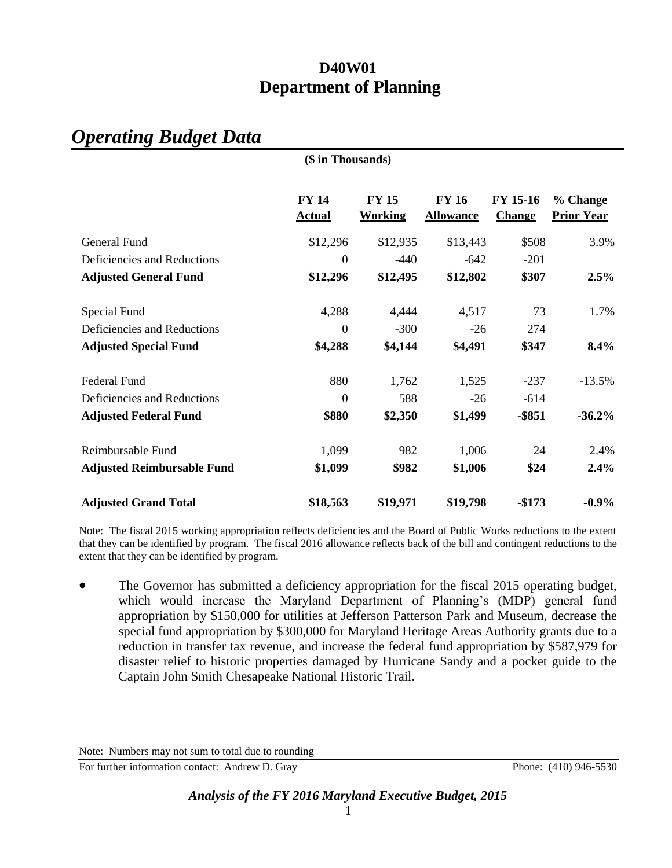## *Operating Budget Data*

|                                   | (\$ in Thousands)             |                                |                                  |                           |                               |
|-----------------------------------|-------------------------------|--------------------------------|----------------------------------|---------------------------|-------------------------------|
|                                   | <b>FY 14</b><br><b>Actual</b> | <b>FY 15</b><br><b>Working</b> | <b>FY 16</b><br><b>Allowance</b> | FY 15-16<br><b>Change</b> | % Change<br><b>Prior Year</b> |
| General Fund                      | \$12,296                      | \$12,935                       | \$13,443                         | \$508                     | 3.9%                          |
| Deficiencies and Reductions       | $\boldsymbol{0}$              | $-440$                         | $-642$                           | $-201$                    |                               |
| <b>Adjusted General Fund</b>      | \$12,296                      | \$12,495                       | \$12,802                         | \$307                     | 2.5%                          |
| Special Fund                      | 4,288                         | 4,444                          | 4,517                            | 73                        | 1.7%                          |
| Deficiencies and Reductions       | $\theta$                      | $-300$                         | $-26$                            | 274                       |                               |
| <b>Adjusted Special Fund</b>      | \$4,288                       | \$4,144                        | \$4,491                          | \$347                     | 8.4%                          |
| <b>Federal Fund</b>               | 880                           | 1,762                          | 1,525                            | $-237$                    | $-13.5%$                      |
| Deficiencies and Reductions       | $\theta$                      | 588                            | $-26$                            | $-614$                    |                               |
| <b>Adjusted Federal Fund</b>      | \$880                         | \$2,350                        | \$1,499                          | $-$ \$851                 | $-36.2%$                      |
| Reimbursable Fund                 | 1,099                         | 982                            | 1,006                            | 24                        | 2.4%                          |
| <b>Adjusted Reimbursable Fund</b> | \$1,099                       | \$982                          | \$1,006                          | \$24                      | 2.4%                          |
| <b>Adjusted Grand Total</b>       | \$18,563                      | \$19,971                       | \$19,798                         | $-$173$                   | $-0.9\%$                      |

Note: The fiscal 2015 working appropriation reflects deficiencies and the Board of Public Works reductions to the extent that they can be identified by program. The fiscal 2016 allowance reflects back of the bill and contingent reductions to the extent that they can be identified by program.

• The Governor has submitted a deficiency appropriation for the fiscal 2015 operating budget, which would increase the Maryland Department of Planning's (MDP) general fund appropriation by \$150,000 for utilities at Jefferson Patterson Park and Museum, decrease the special fund appropriation by \$300,000 for Maryland Heritage Areas Authority grants due to a reduction in transfer tax revenue, and increase the federal fund appropriation by \$587,979 for disaster relief to historic properties damaged by Hurricane Sandy and a pocket guide to the Captain John Smith Chesapeake National Historic Trail.

For further information contact: Andrew D. Gray Phone: (410) 946-5530

Note: Numbers may not sum to total due to rounding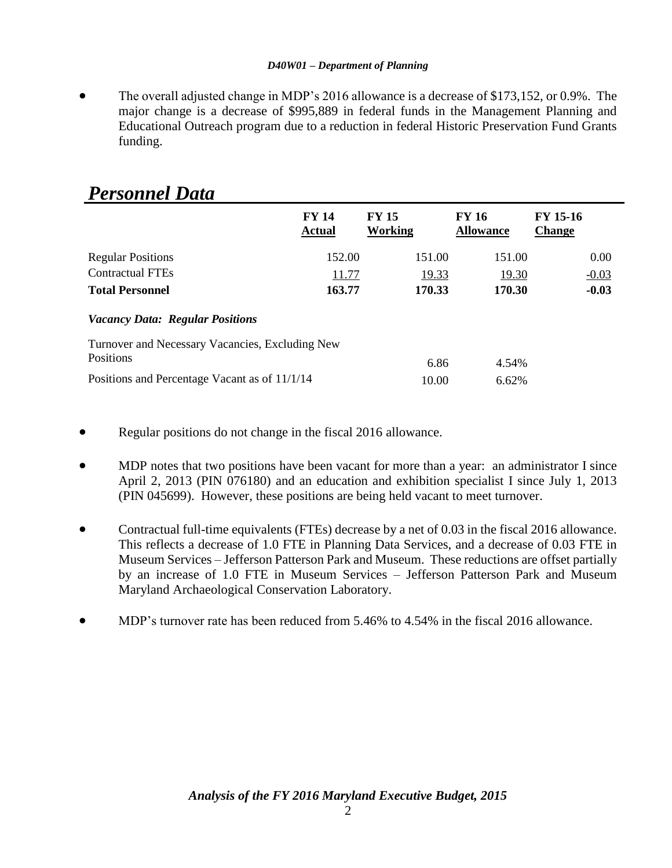The overall adjusted change in MDP's 2016 allowance is a decrease of \$173,152, or 0.9%. The major change is a decrease of \$995,889 in federal funds in the Management Planning and Educational Outreach program due to a reduction in federal Historic Preservation Fund Grants funding.

|                                                 | <b>FY 14</b><br><b>Actual</b> | <b>FY 15</b><br><b>Working</b> | <b>FY 16</b><br><b>Allowance</b> | FY 15-16<br><b>Change</b> |
|-------------------------------------------------|-------------------------------|--------------------------------|----------------------------------|---------------------------|
| <b>Regular Positions</b>                        | 152.00                        | 151.00                         | 151.00                           | 0.00                      |
| <b>Contractual FTEs</b>                         | 11.77                         | 19.33                          | 19.30                            | $-0.03$                   |
| <b>Total Personnel</b>                          | 163.77                        | 170.33                         | 170.30                           | $-0.03$                   |
| <b>Vacancy Data: Regular Positions</b>          |                               |                                |                                  |                           |
| Turnover and Necessary Vacancies, Excluding New |                               |                                |                                  |                           |
| Positions                                       |                               | 6.86                           | 4.54%                            |                           |
| Positions and Percentage Vacant as of 11/1/14   |                               | 10.00                          | 6.62%                            |                           |

## *Personnel Data*

- Regular positions do not change in the fiscal 2016 allowance.
- MDP notes that two positions have been vacant for more than a year: an administrator I since April 2, 2013 (PIN 076180) and an education and exhibition specialist I since July 1, 2013 (PIN 045699). However, these positions are being held vacant to meet turnover.
- Contractual full-time equivalents (FTEs) decrease by a net of 0.03 in the fiscal 2016 allowance. This reflects a decrease of 1.0 FTE in Planning Data Services, and a decrease of 0.03 FTE in Museum Services – Jefferson Patterson Park and Museum. These reductions are offset partially by an increase of 1.0 FTE in Museum Services – Jefferson Patterson Park and Museum Maryland Archaeological Conservation Laboratory.
- MDP's turnover rate has been reduced from 5.46% to 4.54% in the fiscal 2016 allowance.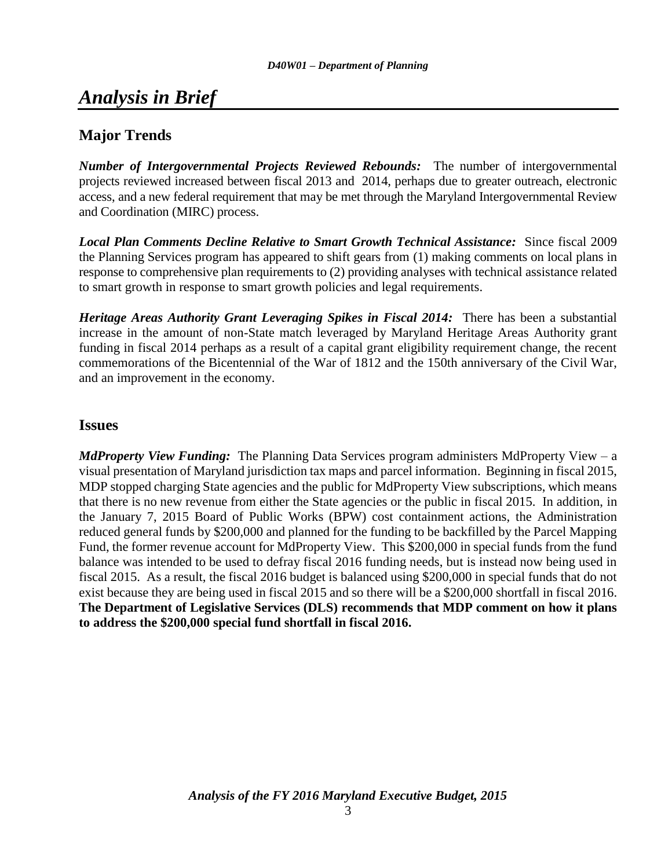## *Analysis in Brief*

## **Major Trends**

*Number of Intergovernmental Projects Reviewed Rebounds:* The number of intergovernmental projects reviewed increased between fiscal 2013 and 2014, perhaps due to greater outreach, electronic access, and a new federal requirement that may be met through the Maryland Intergovernmental Review and Coordination (MIRC) process.

*Local Plan Comments Decline Relative to Smart Growth Technical Assistance:* Since fiscal 2009 the Planning Services program has appeared to shift gears from (1) making comments on local plans in response to comprehensive plan requirements to (2) providing analyses with technical assistance related to smart growth in response to smart growth policies and legal requirements.

*Heritage Areas Authority Grant Leveraging Spikes in Fiscal 2014:* There has been a substantial increase in the amount of non-State match leveraged by Maryland Heritage Areas Authority grant funding in fiscal 2014 perhaps as a result of a capital grant eligibility requirement change, the recent commemorations of the Bicentennial of the War of 1812 and the 150th anniversary of the Civil War, and an improvement in the economy.

#### **Issues**

*MdProperty View Funding:* The Planning Data Services program administers MdProperty View – a visual presentation of Maryland jurisdiction tax maps and parcel information. Beginning in fiscal 2015, MDP stopped charging State agencies and the public for MdProperty View subscriptions, which means that there is no new revenue from either the State agencies or the public in fiscal 2015. In addition, in the January 7, 2015 Board of Public Works (BPW) cost containment actions, the Administration reduced general funds by \$200,000 and planned for the funding to be backfilled by the Parcel Mapping Fund, the former revenue account for MdProperty View. This \$200,000 in special funds from the fund balance was intended to be used to defray fiscal 2016 funding needs, but is instead now being used in fiscal 2015. As a result, the fiscal 2016 budget is balanced using \$200,000 in special funds that do not exist because they are being used in fiscal 2015 and so there will be a \$200,000 shortfall in fiscal 2016. **The Department of Legislative Services (DLS) recommends that MDP comment on how it plans to address the \$200,000 special fund shortfall in fiscal 2016.**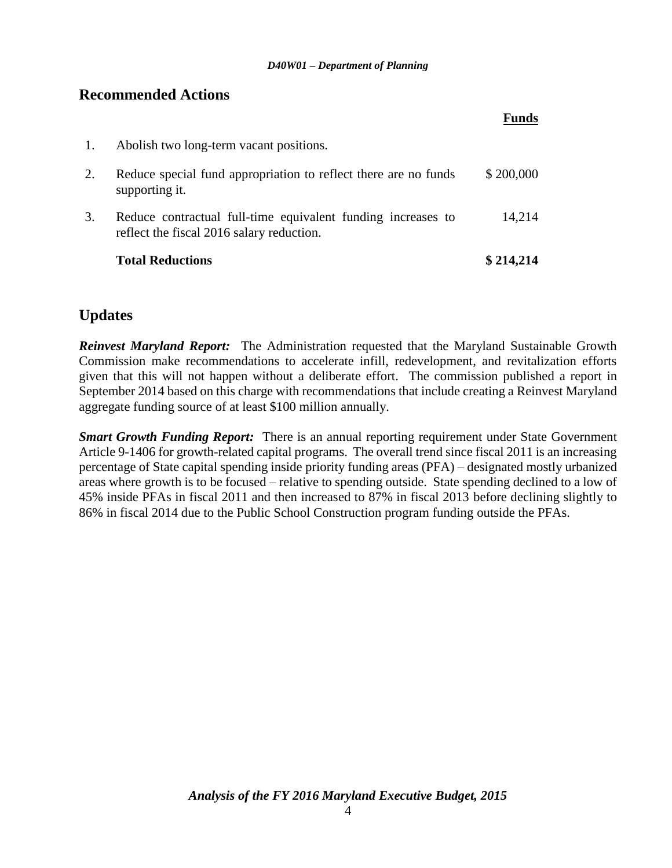### **Recommended Actions**

| 1. | Abolish two long-term vacant positions.                                                                   |           |
|----|-----------------------------------------------------------------------------------------------------------|-----------|
| 2. | Reduce special fund appropriation to reflect there are no funds<br>supporting it.                         | \$200,000 |
| 3. | Reduce contractual full-time equivalent funding increases to<br>reflect the fiscal 2016 salary reduction. | 14,214    |
|    | <b>Total Reductions</b>                                                                                   | \$214,214 |

## **Updates**

*Reinvest Maryland Report:* The Administration requested that the Maryland Sustainable Growth Commission make recommendations to accelerate infill, redevelopment, and revitalization efforts given that this will not happen without a deliberate effort. The commission published a report in September 2014 based on this charge with recommendations that include creating a Reinvest Maryland aggregate funding source of at least \$100 million annually.

*Smart Growth Funding Report:* There is an annual reporting requirement under State Government Article 9-1406 for growth-related capital programs. The overall trend since fiscal 2011 is an increasing percentage of State capital spending inside priority funding areas (PFA) – designated mostly urbanized areas where growth is to be focused – relative to spending outside. State spending declined to a low of 45% inside PFAs in fiscal 2011 and then increased to 87% in fiscal 2013 before declining slightly to 86% in fiscal 2014 due to the Public School Construction program funding outside the PFAs.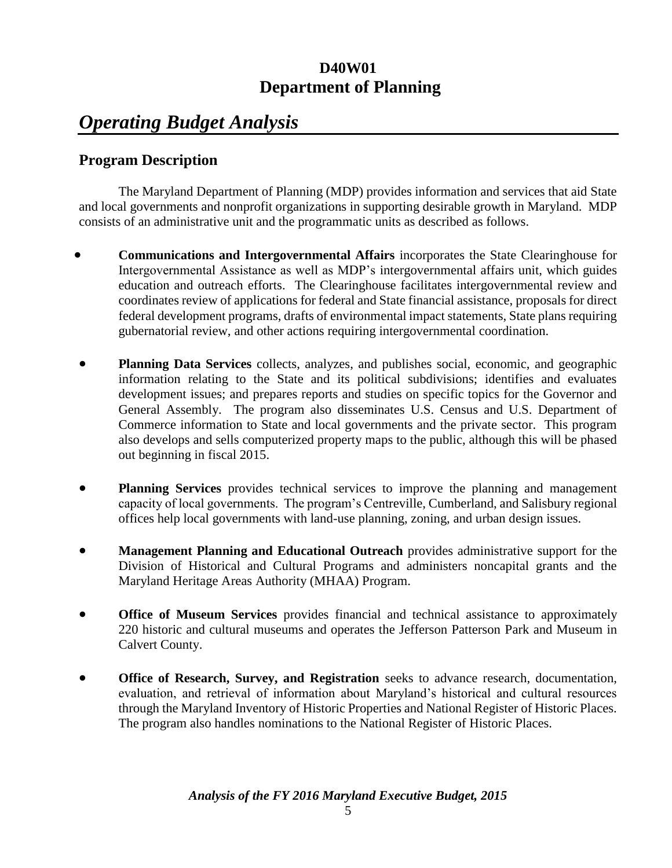## *Operating Budget Analysis*

## **Program Description**

The Maryland Department of Planning (MDP) provides information and services that aid State and local governments and nonprofit organizations in supporting desirable growth in Maryland. MDP consists of an administrative unit and the programmatic units as described as follows.

- **Communications and Intergovernmental Affairs** incorporates the State Clearinghouse for Intergovernmental Assistance as well as MDP's intergovernmental affairs unit, which guides education and outreach efforts. The Clearinghouse facilitates intergovernmental review and coordinates review of applications for federal and State financial assistance, proposals for direct federal development programs, drafts of environmental impact statements, State plans requiring gubernatorial review, and other actions requiring intergovernmental coordination.
- **Planning Data Services** collects, analyzes, and publishes social, economic, and geographic information relating to the State and its political subdivisions; identifies and evaluates development issues; and prepares reports and studies on specific topics for the Governor and General Assembly. The program also disseminates U.S. Census and U.S. Department of Commerce information to State and local governments and the private sector. This program also develops and sells computerized property maps to the public, although this will be phased out beginning in fiscal 2015.
- **Planning Services** provides technical services to improve the planning and management capacity of local governments. The program's Centreville, Cumberland, and Salisbury regional offices help local governments with land-use planning, zoning, and urban design issues.
- **Management Planning and Educational Outreach** provides administrative support for the Division of Historical and Cultural Programs and administers noncapital grants and the Maryland Heritage Areas Authority (MHAA) Program.
- **Office of Museum Services** provides financial and technical assistance to approximately 220 historic and cultural museums and operates the Jefferson Patterson Park and Museum in Calvert County.
- **Office of Research, Survey, and Registration** seeks to advance research, documentation, evaluation, and retrieval of information about Maryland's historical and cultural resources through the Maryland Inventory of Historic Properties and National Register of Historic Places. The program also handles nominations to the National Register of Historic Places.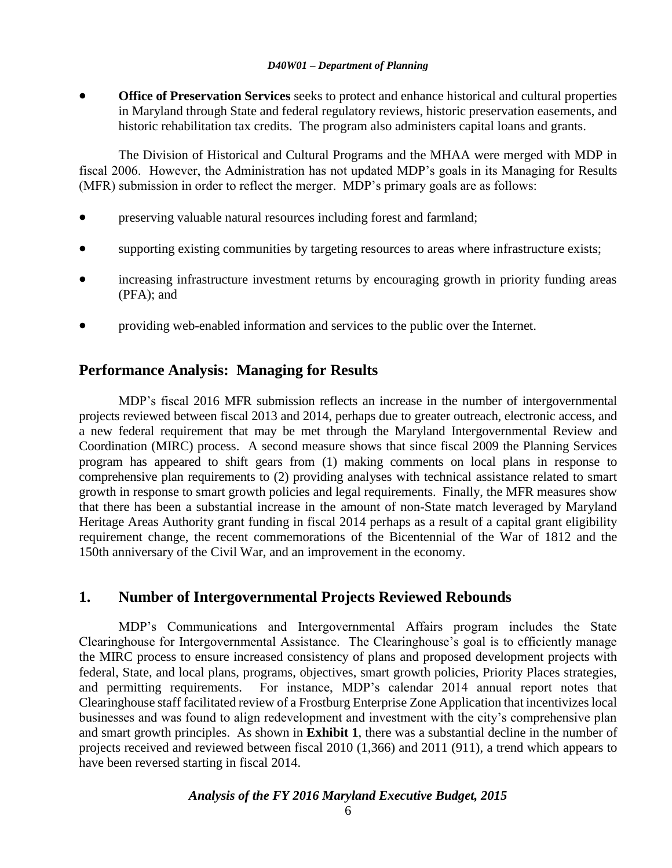**Office of Preservation Services** seeks to protect and enhance historical and cultural properties in Maryland through State and federal regulatory reviews, historic preservation easements, and historic rehabilitation tax credits. The program also administers capital loans and grants.

The Division of Historical and Cultural Programs and the MHAA were merged with MDP in fiscal 2006. However, the Administration has not updated MDP's goals in its Managing for Results (MFR) submission in order to reflect the merger. MDP's primary goals are as follows:

- preserving valuable natural resources including forest and farmland;
- supporting existing communities by targeting resources to areas where infrastructure exists;
- increasing infrastructure investment returns by encouraging growth in priority funding areas (PFA); and
- providing web-enabled information and services to the public over the Internet.

## **Performance Analysis: Managing for Results**

MDP's fiscal 2016 MFR submission reflects an increase in the number of intergovernmental projects reviewed between fiscal 2013 and 2014, perhaps due to greater outreach, electronic access, and a new federal requirement that may be met through the Maryland Intergovernmental Review and Coordination (MIRC) process. A second measure shows that since fiscal 2009 the Planning Services program has appeared to shift gears from (1) making comments on local plans in response to comprehensive plan requirements to (2) providing analyses with technical assistance related to smart growth in response to smart growth policies and legal requirements. Finally, the MFR measures show that there has been a substantial increase in the amount of non-State match leveraged by Maryland Heritage Areas Authority grant funding in fiscal 2014 perhaps as a result of a capital grant eligibility requirement change, the recent commemorations of the Bicentennial of the War of 1812 and the 150th anniversary of the Civil War, and an improvement in the economy.

## **1. Number of Intergovernmental Projects Reviewed Rebounds**

MDP's Communications and Intergovernmental Affairs program includes the State Clearinghouse for Intergovernmental Assistance. The Clearinghouse's goal is to efficiently manage the MIRC process to ensure increased consistency of plans and proposed development projects with federal, State, and local plans, programs, objectives, smart growth policies, Priority Places strategies, and permitting requirements. For instance, MDP's calendar 2014 annual report notes that Clearinghouse staff facilitated review of a Frostburg Enterprise Zone Application that incentivizes local businesses and was found to align redevelopment and investment with the city's comprehensive plan and smart growth principles. As shown in **Exhibit 1**, there was a substantial decline in the number of projects received and reviewed between fiscal 2010 (1,366) and 2011 (911), a trend which appears to have been reversed starting in fiscal 2014.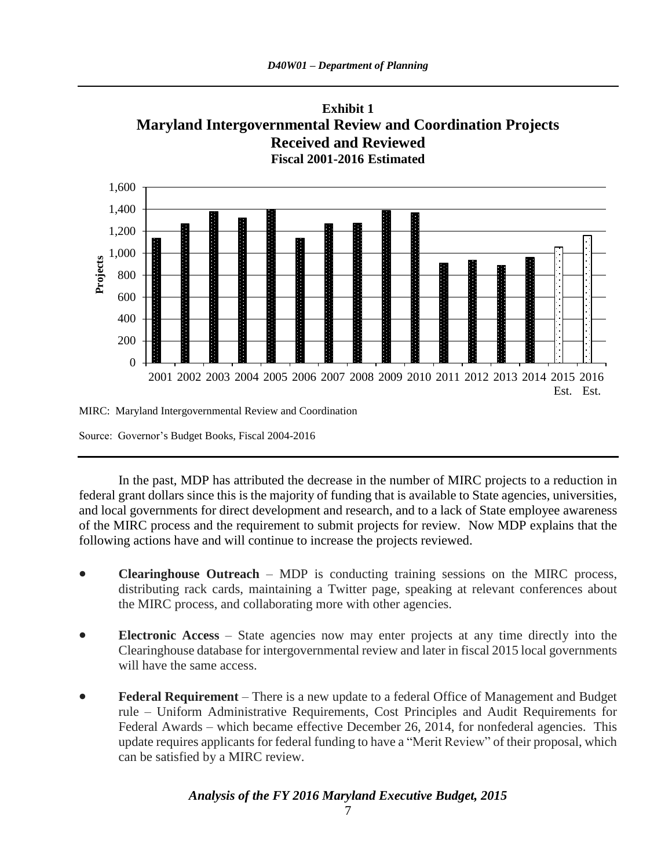

MIRC: Maryland Intergovernmental Review and Coordination

Source: Governor's Budget Books, Fiscal 2004-2016

In the past, MDP has attributed the decrease in the number of MIRC projects to a reduction in federal grant dollars since this is the majority of funding that is available to State agencies, universities, and local governments for direct development and research, and to a lack of State employee awareness of the MIRC process and the requirement to submit projects for review. Now MDP explains that the following actions have and will continue to increase the projects reviewed.

- **Clearinghouse Outreach** MDP is conducting training sessions on the MIRC process, distributing rack cards, maintaining a Twitter page, speaking at relevant conferences about the MIRC process, and collaborating more with other agencies.
- **Electronic Access** State agencies now may enter projects at any time directly into the Clearinghouse database for intergovernmental review and later in fiscal 2015 local governments will have the same access.
- **Federal Requirement** There is a new update to a federal Office of Management and Budget rule – Uniform Administrative Requirements, Cost Principles and Audit Requirements for Federal Awards – which became effective December 26, 2014, for nonfederal agencies. This update requires applicants for federal funding to have a "Merit Review" of their proposal, which can be satisfied by a MIRC review.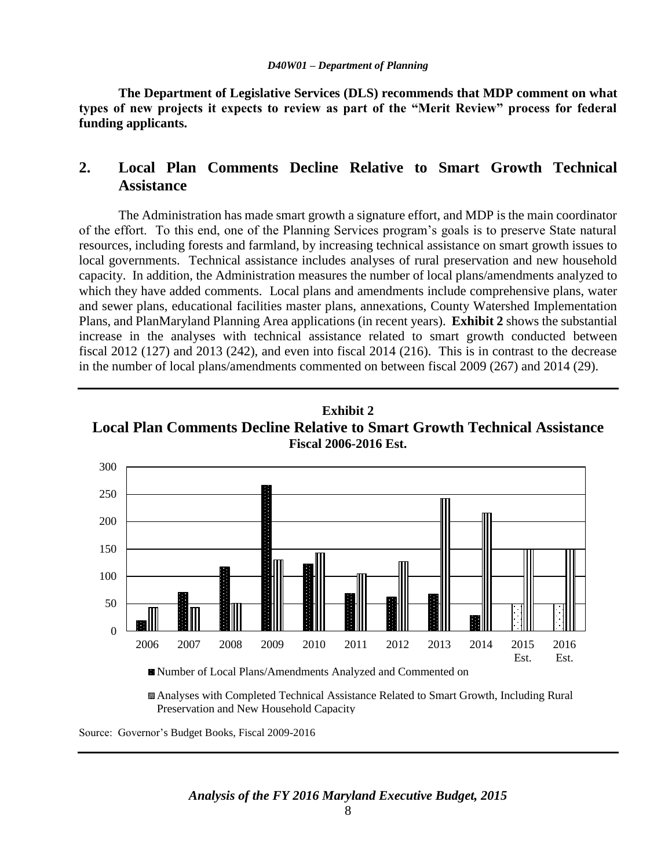**The Department of Legislative Services (DLS) recommends that MDP comment on what types of new projects it expects to review as part of the "Merit Review" process for federal funding applicants.**

## **2. Local Plan Comments Decline Relative to Smart Growth Technical Assistance**

The Administration has made smart growth a signature effort, and MDP is the main coordinator of the effort. To this end, one of the Planning Services program's goals is to preserve State natural resources, including forests and farmland, by increasing technical assistance on smart growth issues to local governments. Technical assistance includes analyses of rural preservation and new household capacity. In addition, the Administration measures the number of local plans/amendments analyzed to which they have added comments. Local plans and amendments include comprehensive plans, water and sewer plans, educational facilities master plans, annexations, County Watershed Implementation Plans, and PlanMaryland Planning Area applications (in recent years). **Exhibit 2** shows the substantial increase in the analyses with technical assistance related to smart growth conducted between fiscal 2012 (127) and 2013 (242), and even into fiscal 2014 (216). This is in contrast to the decrease in the number of local plans/amendments commented on between fiscal 2009 (267) and 2014 (29).





Analyses with Completed Technical Assistance Related to Smart Growth, Including Rural Preservation and New Household Capacity

Source: Governor's Budget Books, Fiscal 2009-2016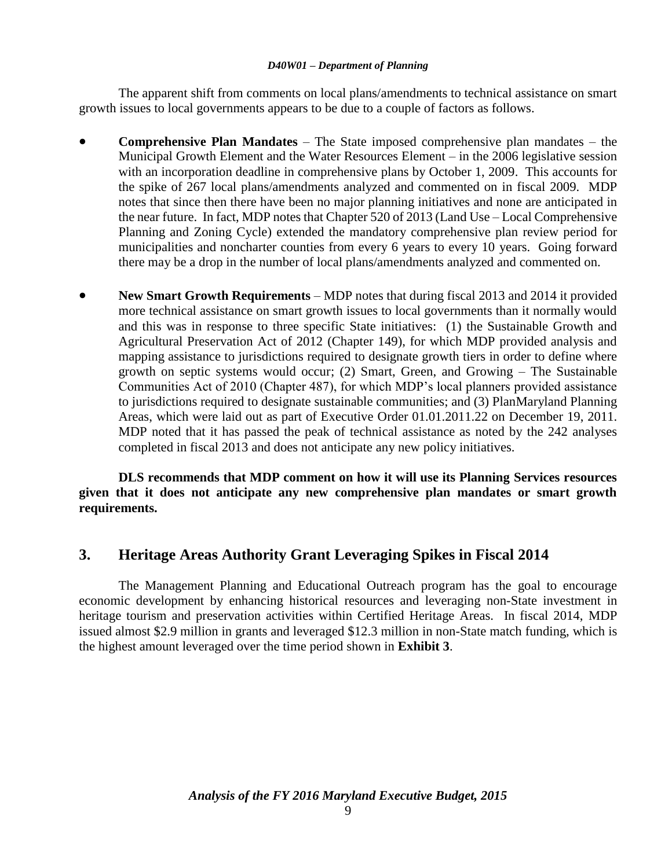The apparent shift from comments on local plans/amendments to technical assistance on smart growth issues to local governments appears to be due to a couple of factors as follows.

- **Comprehensive Plan Mandates** The State imposed comprehensive plan mandates the Municipal Growth Element and the Water Resources Element – in the 2006 legislative session with an incorporation deadline in comprehensive plans by October 1, 2009. This accounts for the spike of 267 local plans/amendments analyzed and commented on in fiscal 2009. MDP notes that since then there have been no major planning initiatives and none are anticipated in the near future. In fact, MDP notes that Chapter 520 of 2013 (Land Use – Local Comprehensive Planning and Zoning Cycle) extended the mandatory comprehensive plan review period for municipalities and noncharter counties from every 6 years to every 10 years. Going forward there may be a drop in the number of local plans/amendments analyzed and commented on.
- **New Smart Growth Requirements** MDP notes that during fiscal 2013 and 2014 it provided more technical assistance on smart growth issues to local governments than it normally would and this was in response to three specific State initiatives: (1) the Sustainable Growth and Agricultural Preservation Act of 2012 (Chapter 149), for which MDP provided analysis and mapping assistance to jurisdictions required to designate growth tiers in order to define where growth on septic systems would occur; (2) Smart, Green, and Growing – The Sustainable Communities Act of 2010 (Chapter 487), for which MDP's local planners provided assistance to jurisdictions required to designate sustainable communities; and (3) PlanMaryland Planning Areas, which were laid out as part of Executive Order 01.01.2011.22 on December 19, 2011. MDP noted that it has passed the peak of technical assistance as noted by the 242 analyses completed in fiscal 2013 and does not anticipate any new policy initiatives.

**DLS recommends that MDP comment on how it will use its Planning Services resources given that it does not anticipate any new comprehensive plan mandates or smart growth requirements.**

## **3. Heritage Areas Authority Grant Leveraging Spikes in Fiscal 2014**

The Management Planning and Educational Outreach program has the goal to encourage economic development by enhancing historical resources and leveraging non-State investment in heritage tourism and preservation activities within Certified Heritage Areas. In fiscal 2014, MDP issued almost \$2.9 million in grants and leveraged \$12.3 million in non-State match funding, which is the highest amount leveraged over the time period shown in **Exhibit 3**.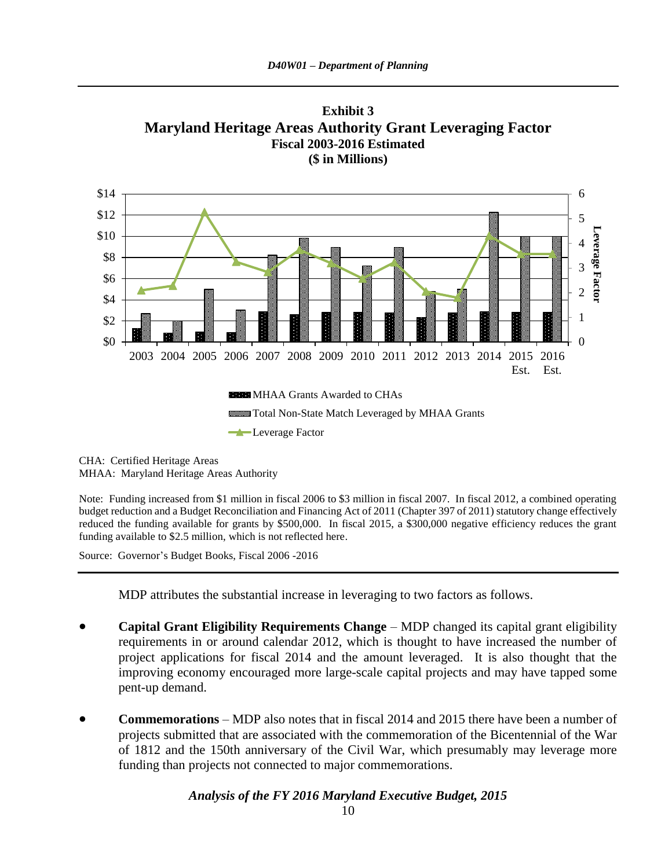



CHA: Certified Heritage Areas MHAA: Maryland Heritage Areas Authority

Note: Funding increased from \$1 million in fiscal 2006 to \$3 million in fiscal 2007. In fiscal 2012, a combined operating budget reduction and a Budget Reconciliation and Financing Act of 2011 (Chapter 397 of 2011) statutory change effectively reduced the funding available for grants by \$500,000. In fiscal 2015, a \$300,000 negative efficiency reduces the grant funding available to \$2.5 million, which is not reflected here.

Source: Governor's Budget Books, Fiscal 2006 -2016

MDP attributes the substantial increase in leveraging to two factors as follows.

- **Capital Grant Eligibility Requirements Change** MDP changed its capital grant eligibility requirements in or around calendar 2012, which is thought to have increased the number of project applications for fiscal 2014 and the amount leveraged. It is also thought that the improving economy encouraged more large-scale capital projects and may have tapped some pent-up demand.
- **Commemorations** MDP also notes that in fiscal 2014 and 2015 there have been a number of projects submitted that are associated with the commemoration of the Bicentennial of the War of 1812 and the 150th anniversary of the Civil War, which presumably may leverage more funding than projects not connected to major commemorations.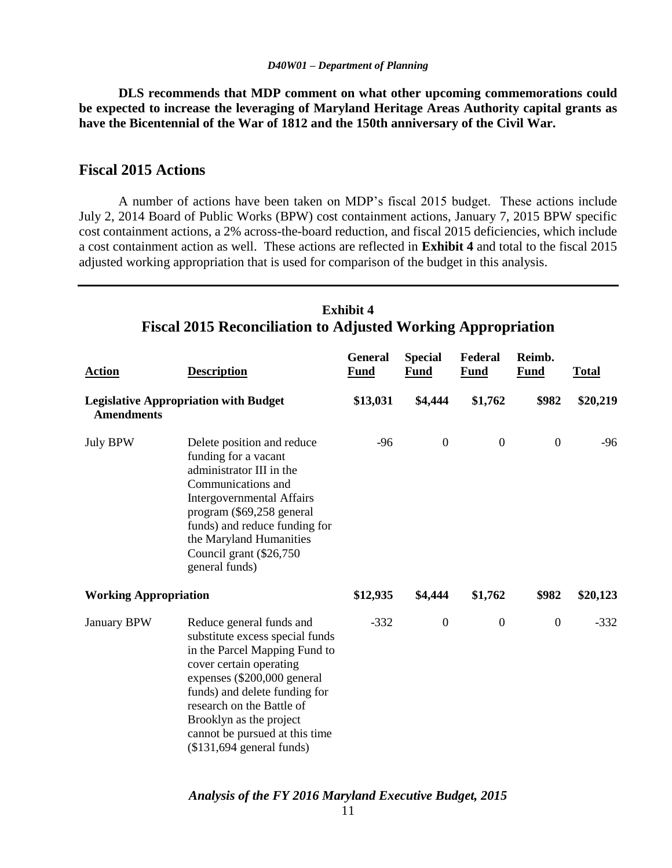**DLS recommends that MDP comment on what other upcoming commemorations could be expected to increase the leveraging of Maryland Heritage Areas Authority capital grants as have the Bicentennial of the War of 1812 and the 150th anniversary of the Civil War.**

## **Fiscal 2015 Actions**

A number of actions have been taken on MDP's fiscal 2015 budget. These actions include July 2, 2014 Board of Public Works (BPW) cost containment actions, January 7, 2015 BPW specific cost containment actions, a 2% across-the-board reduction, and fiscal 2015 deficiencies, which include a cost containment action as well. These actions are reflected in **Exhibit 4** and total to the fiscal 2015 adjusted working appropriation that is used for comparison of the budget in this analysis.

| <b>Action</b>                | <b>Description</b>                                                                                                                                                                                                                                                                                              | <b>General</b><br>Fund | <b>Special</b><br><b>Fund</b> | Federal<br>Fund  | Reimb.<br>Fund   | <b>Total</b> |
|------------------------------|-----------------------------------------------------------------------------------------------------------------------------------------------------------------------------------------------------------------------------------------------------------------------------------------------------------------|------------------------|-------------------------------|------------------|------------------|--------------|
| <b>Amendments</b>            | <b>Legislative Appropriation with Budget</b>                                                                                                                                                                                                                                                                    | \$13,031               | \$4,444                       | \$1,762          | \$982            | \$20,219     |
| <b>July BPW</b>              | Delete position and reduce<br>funding for a vacant<br>administrator III in the<br>Communications and<br><b>Intergovernmental Affairs</b><br>program (\$69,258 general<br>funds) and reduce funding for<br>the Maryland Humanities<br>Council grant (\$26,750<br>general funds)                                  | $-96$                  | $\boldsymbol{0}$              | $\boldsymbol{0}$ | $\boldsymbol{0}$ | $-96$        |
| <b>Working Appropriation</b> |                                                                                                                                                                                                                                                                                                                 | \$12,935               | \$4,444                       | \$1,762          | \$982            | \$20,123     |
| <b>January BPW</b>           | Reduce general funds and<br>substitute excess special funds<br>in the Parcel Mapping Fund to<br>cover certain operating<br>expenses (\$200,000 general<br>funds) and delete funding for<br>research on the Battle of<br>Brooklyn as the project<br>cannot be pursued at this time<br>$($131,694$ general funds) | $-332$                 | $\boldsymbol{0}$              | $\boldsymbol{0}$ | $\mathbf{0}$     | $-332$       |

### **Exhibit 4 Fiscal 2015 Reconciliation to Adjusted Working Appropriation**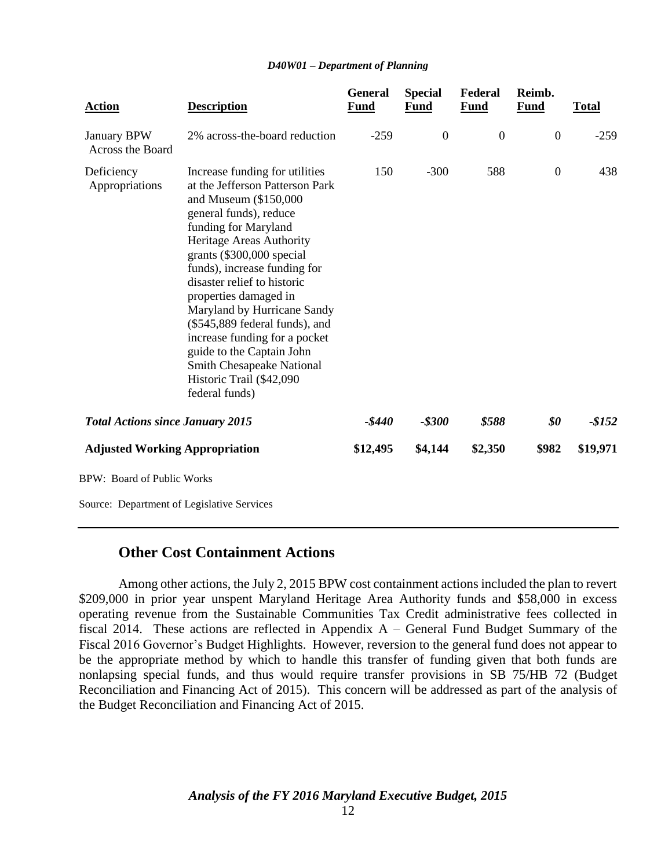| <b>Action</b>                           | <b>Description</b>                                                                                                                                                                                                                                                                                                                                                                                                                                                                                      | <b>General</b><br><b>Fund</b> | <b>Special</b><br><b>Fund</b> | Federal<br><b>Fund</b> | Reimb.<br><b>Fund</b> | <b>Total</b> |
|-----------------------------------------|---------------------------------------------------------------------------------------------------------------------------------------------------------------------------------------------------------------------------------------------------------------------------------------------------------------------------------------------------------------------------------------------------------------------------------------------------------------------------------------------------------|-------------------------------|-------------------------------|------------------------|-----------------------|--------------|
| January BPW<br>Across the Board         | 2% across-the-board reduction                                                                                                                                                                                                                                                                                                                                                                                                                                                                           | $-259$                        | $\mathbf{0}$                  | $\mathbf{0}$           | $\boldsymbol{0}$      | $-259$       |
| Deficiency<br>Appropriations            | Increase funding for utilities<br>at the Jefferson Patterson Park<br>and Museum (\$150,000<br>general funds), reduce<br>funding for Maryland<br>Heritage Areas Authority<br>grants (\$300,000 special<br>funds), increase funding for<br>disaster relief to historic<br>properties damaged in<br>Maryland by Hurricane Sandy<br>(\$545,889 federal funds), and<br>increase funding for a pocket<br>guide to the Captain John<br>Smith Chesapeake National<br>Historic Trail (\$42,090<br>federal funds) | 150                           | $-300$                        | 588                    | $\boldsymbol{0}$      | 438          |
| <b>Total Actions since January 2015</b> |                                                                                                                                                                                                                                                                                                                                                                                                                                                                                                         | -\$440                        | $-$ \$300                     | \$588                  | \$0                   | $-$152$      |
| <b>Adjusted Working Appropriation</b>   |                                                                                                                                                                                                                                                                                                                                                                                                                                                                                                         | \$12,495                      | \$4,144                       | \$2,350                | \$982                 | \$19,971     |
| <b>BPW: Board of Public Works</b>       |                                                                                                                                                                                                                                                                                                                                                                                                                                                                                                         |                               |                               |                        |                       |              |

Source: Department of Legislative Services

#### **Other Cost Containment Actions**

Among other actions, the July 2, 2015 BPW cost containment actions included the plan to revert \$209,000 in prior year unspent Maryland Heritage Area Authority funds and \$58,000 in excess operating revenue from the Sustainable Communities Tax Credit administrative fees collected in fiscal 2014. These actions are reflected in Appendix A – General Fund Budget Summary of the Fiscal 2016 Governor's Budget Highlights. However, reversion to the general fund does not appear to be the appropriate method by which to handle this transfer of funding given that both funds are nonlapsing special funds, and thus would require transfer provisions in SB 75/HB 72 (Budget Reconciliation and Financing Act of 2015). This concern will be addressed as part of the analysis of the Budget Reconciliation and Financing Act of 2015.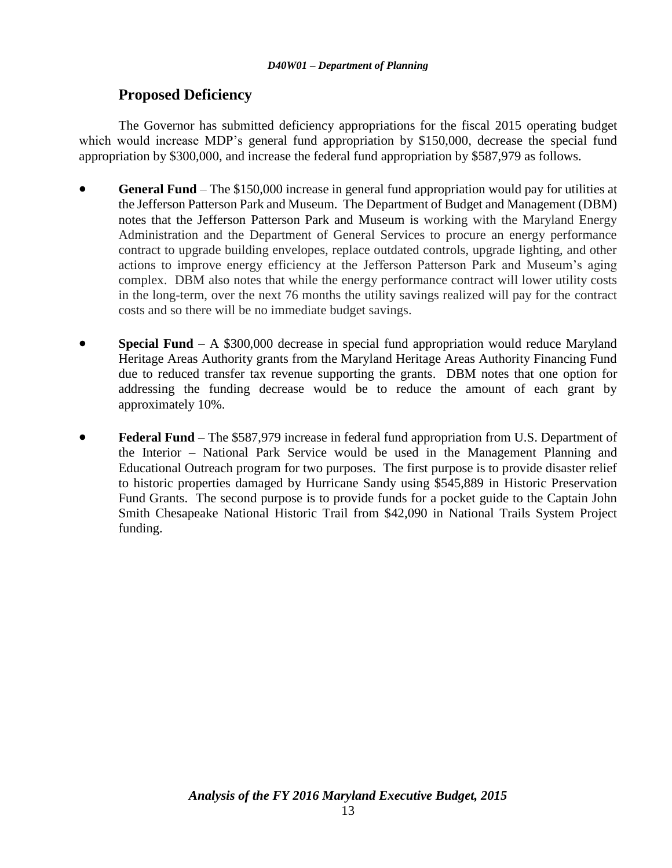## **Proposed Deficiency**

The Governor has submitted deficiency appropriations for the fiscal 2015 operating budget which would increase MDP's general fund appropriation by \$150,000, decrease the special fund appropriation by \$300,000, and increase the federal fund appropriation by \$587,979 as follows.

- **General Fund** The \$150,000 increase in general fund appropriation would pay for utilities at the Jefferson Patterson Park and Museum. The Department of Budget and Management (DBM) notes that the Jefferson Patterson Park and Museum is working with the Maryland Energy Administration and the Department of General Services to procure an energy performance contract to upgrade building envelopes, replace outdated controls, upgrade lighting, and other actions to improve energy efficiency at the Jefferson Patterson Park and Museum's aging complex. DBM also notes that while the energy performance contract will lower utility costs in the long-term, over the next 76 months the utility savings realized will pay for the contract costs and so there will be no immediate budget savings.
- **Special Fund** A \$300,000 decrease in special fund appropriation would reduce Maryland Heritage Areas Authority grants from the Maryland Heritage Areas Authority Financing Fund due to reduced transfer tax revenue supporting the grants. DBM notes that one option for addressing the funding decrease would be to reduce the amount of each grant by approximately 10%.
- **Federal Fund** The \$587,979 increase in federal fund appropriation from U.S. Department of the Interior – National Park Service would be used in the Management Planning and Educational Outreach program for two purposes. The first purpose is to provide disaster relief to historic properties damaged by Hurricane Sandy using \$545,889 in Historic Preservation Fund Grants. The second purpose is to provide funds for a pocket guide to the Captain John Smith Chesapeake National Historic Trail from \$42,090 in National Trails System Project funding.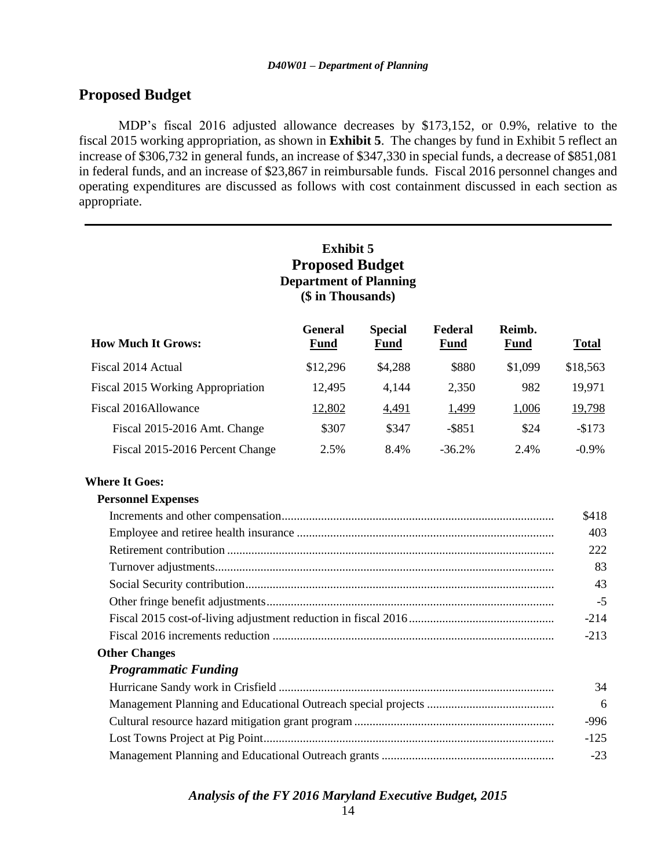### **Proposed Budget**

MDP's fiscal 2016 adjusted allowance decreases by \$173,152, or 0.9%, relative to the fiscal 2015 working appropriation, as shown in **Exhibit 5**. The changes by fund in Exhibit 5 reflect an increase of \$306,732 in general funds, an increase of \$347,330 in special funds, a decrease of \$851,081 in federal funds, and an increase of \$23,867 in reimbursable funds. Fiscal 2016 personnel changes and operating expenditures are discussed as follows with cost containment discussed in each section as appropriate.

#### **Exhibit 5 Proposed Budget Department of Planning (\$ in Thousands) How Much It Grows: General Fund Special Fund Federal Fund Reimb. Fund Total** Fiscal 2014 Actual **\$12,296** \$4,288 \$880 \$1,099 \$18,563 Fiscal 2015 Working Appropriation 12,495 4,144 2,350 982 19,971 Fiscal 2016Allowance 12,802 4,491 1,499 1,006 19,798 Fiscal 2015-2016 Amt. Change  $$307$   $$347$   $$851$   $$24$   $$173$ Fiscal 2015-2016 Percent Change 2.5% 8.4% -36.2% 2.4% -0.9% **Where It Goes: Personnel Expenses** Increments and other compensation.......................................................................................... \$418 Employee and retiree health insurance ..................................................................................... 403 Retirement contribution ............................................................................................................ 222 Turnover adjustments................................................................................................................ 83

Social Security contribution...................................................................................................... 43 Other fringe benefit adjustments............................................................................................... -5 Fiscal 2015 cost-of-living adjustment reduction in fiscal 2016................................................ -214 Fiscal 2016 increments reduction ............................................................................................. -213

#### **Other Changes**

#### *Programmatic Funding*

| 34     |
|--------|
| -6     |
| -996   |
| $-125$ |
| $-23$  |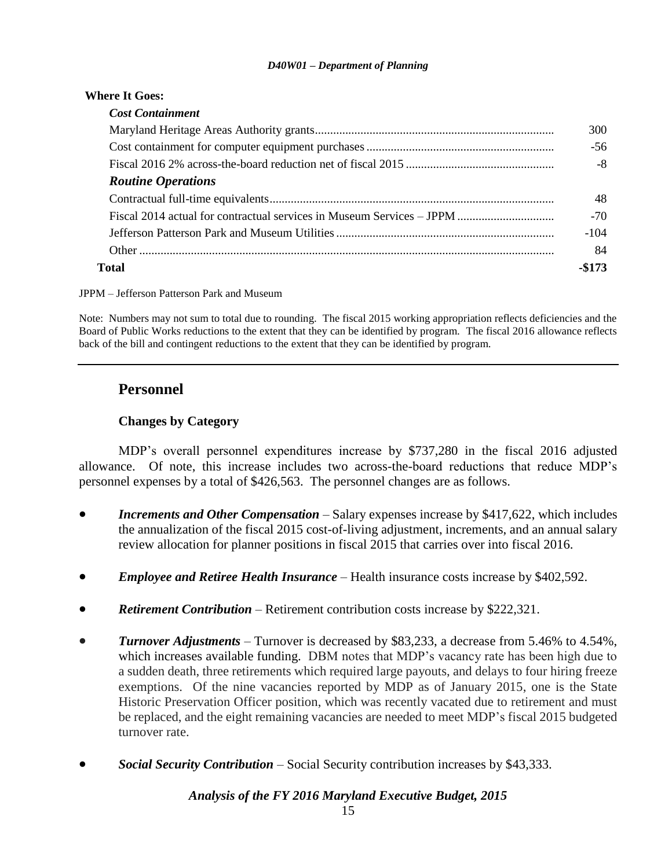| <b>Where It Goes:</b>                                        |        |
|--------------------------------------------------------------|--------|
| <b>Cost Containment</b>                                      |        |
|                                                              | 300    |
|                                                              | $-56$  |
| Fiscal 2016 2% across-the-board reduction net of fiscal 2015 | -8     |
| <b>Routine Operations</b>                                    |        |
|                                                              | 48     |
|                                                              | $-70$  |
|                                                              | $-104$ |
|                                                              | 84     |
| Total                                                        |        |

JPPM – Jefferson Patterson Park and Museum

Note: Numbers may not sum to total due to rounding. The fiscal 2015 working appropriation reflects deficiencies and the Board of Public Works reductions to the extent that they can be identified by program. The fiscal 2016 allowance reflects back of the bill and contingent reductions to the extent that they can be identified by program.

## **Personnel**

#### **Changes by Category**

MDP's overall personnel expenditures increase by \$737,280 in the fiscal 2016 adjusted allowance. Of note, this increase includes two across-the-board reductions that reduce MDP's personnel expenses by a total of \$426,563. The personnel changes are as follows.

- *Increments and Other Compensation* Salary expenses increase by \$417,622, which includes the annualization of the fiscal 2015 cost-of-living adjustment, increments, and an annual salary review allocation for planner positions in fiscal 2015 that carries over into fiscal 2016.
- *Employee and Retiree Health Insurance* Health insurance costs increase by \$402,592.
- *Retirement Contribution* Retirement contribution costs increase by \$222,321.
- *Turnover Adjustments* Turnover is decreased by \$83,233, a decrease from 5.46% to 4.54%, which increases available funding. DBM notes that MDP's vacancy rate has been high due to a sudden death, three retirements which required large payouts, and delays to four hiring freeze exemptions. Of the nine vacancies reported by MDP as of January 2015, one is the State Historic Preservation Officer position, which was recently vacated due to retirement and must be replaced, and the eight remaining vacancies are needed to meet MDP's fiscal 2015 budgeted turnover rate.
- *Social Security Contribution* Social Security contribution increases by \$43,333.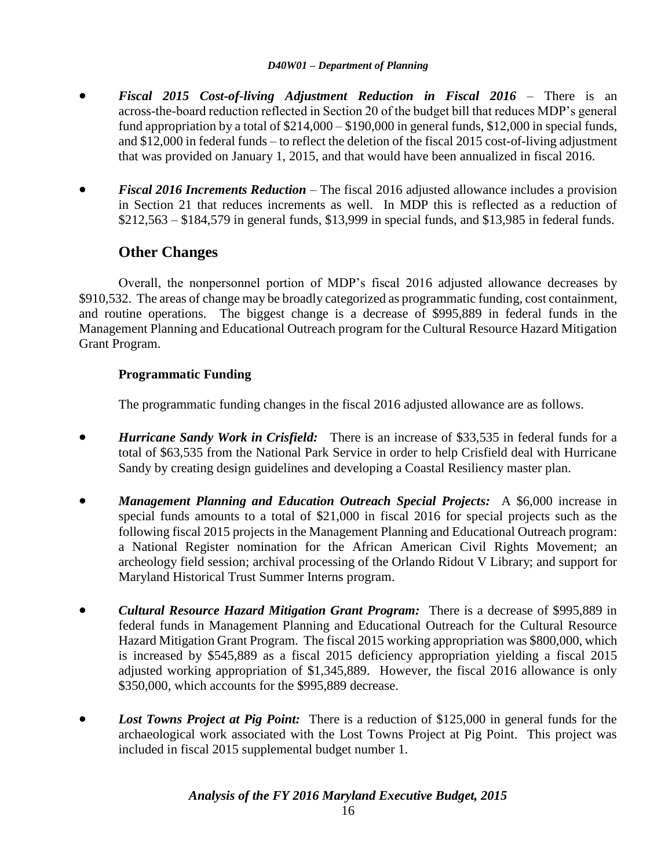- *Fiscal 2015 Cost-of-living Adjustment Reduction in Fiscal 2016* There is an across-the-board reduction reflected in Section 20 of the budget bill that reduces MDP's general fund appropriation by a total of \$214,000 – \$190,000 in general funds, \$12,000 in special funds, and \$12,000 in federal funds – to reflect the deletion of the fiscal 2015 cost-of-living adjustment that was provided on January 1, 2015, and that would have been annualized in fiscal 2016.
- *Fiscal 2016 Increments Reduction* The fiscal 2016 adjusted allowance includes a provision in Section 21 that reduces increments as well. In MDP this is reflected as a reduction of \$212,563 – \$184,579 in general funds, \$13,999 in special funds, and \$13,985 in federal funds.

## **Other Changes**

Overall, the nonpersonnel portion of MDP's fiscal 2016 adjusted allowance decreases by \$910,532. The areas of change may be broadly categorized as programmatic funding, cost containment, and routine operations. The biggest change is a decrease of \$995,889 in federal funds in the Management Planning and Educational Outreach program for the Cultural Resource Hazard Mitigation Grant Program.

### **Programmatic Funding**

The programmatic funding changes in the fiscal 2016 adjusted allowance are as follows.

- *Hurricane Sandy Work in Crisfield:* There is an increase of \$33,535 in federal funds for a total of \$63,535 from the National Park Service in order to help Crisfield deal with Hurricane Sandy by creating design guidelines and developing a Coastal Resiliency master plan.
- *Management Planning and Education Outreach Special Projects:* A \$6,000 increase in special funds amounts to a total of \$21,000 in fiscal 2016 for special projects such as the following fiscal 2015 projects in the Management Planning and Educational Outreach program: a National Register nomination for the African American Civil Rights Movement; an archeology field session; archival processing of the Orlando Ridout V Library; and support for Maryland Historical Trust Summer Interns program.
- *Cultural Resource Hazard Mitigation Grant Program:* There is a decrease of \$995,889 in federal funds in Management Planning and Educational Outreach for the Cultural Resource Hazard Mitigation Grant Program. The fiscal 2015 working appropriation was \$800,000, which is increased by \$545,889 as a fiscal 2015 deficiency appropriation yielding a fiscal 2015 adjusted working appropriation of \$1,345,889. However, the fiscal 2016 allowance is only \$350,000, which accounts for the \$995,889 decrease.
- *Lost Towns Project at Pig Point:* There is a reduction of \$125,000 in general funds for the archaeological work associated with the Lost Towns Project at Pig Point. This project was included in fiscal 2015 supplemental budget number 1.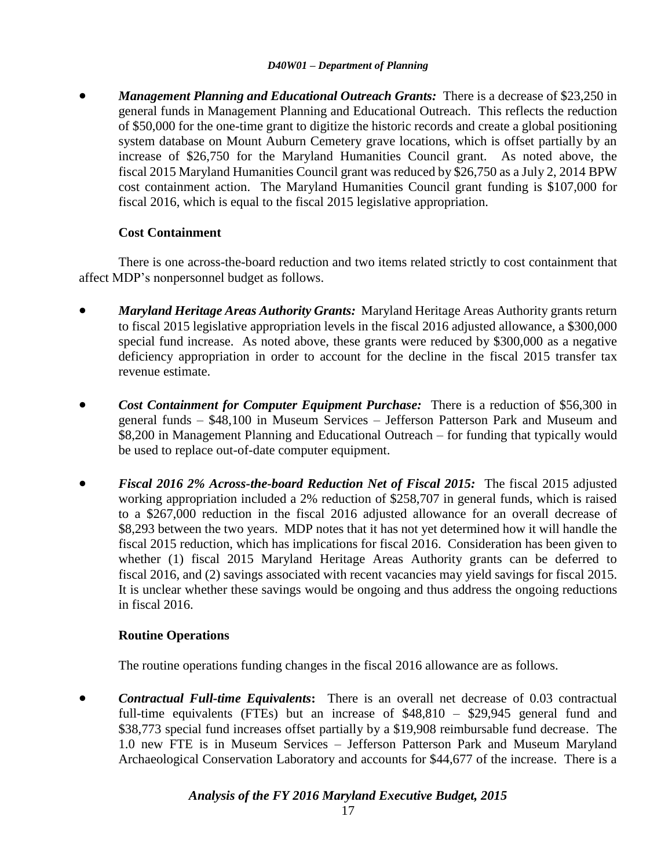*Management Planning and Educational Outreach Grants:* There is a decrease of \$23,250 in general funds in Management Planning and Educational Outreach. This reflects the reduction of \$50,000 for the one-time grant to digitize the historic records and create a global positioning system database on Mount Auburn Cemetery grave locations, which is offset partially by an increase of \$26,750 for the Maryland Humanities Council grant. As noted above, the fiscal 2015 Maryland Humanities Council grant was reduced by \$26,750 as a July 2, 2014 BPW cost containment action. The Maryland Humanities Council grant funding is \$107,000 for fiscal 2016, which is equal to the fiscal 2015 legislative appropriation.

#### **Cost Containment**

There is one across-the-board reduction and two items related strictly to cost containment that affect MDP's nonpersonnel budget as follows.

- *Maryland Heritage Areas Authority Grants:* Maryland Heritage Areas Authority grants return to fiscal 2015 legislative appropriation levels in the fiscal 2016 adjusted allowance, a \$300,000 special fund increase. As noted above, these grants were reduced by \$300,000 as a negative deficiency appropriation in order to account for the decline in the fiscal 2015 transfer tax revenue estimate.
- **Cost Containment for Computer Equipment Purchase:** There is a reduction of \$56,300 in general funds – \$48,100 in Museum Services – Jefferson Patterson Park and Museum and \$8,200 in Management Planning and Educational Outreach – for funding that typically would be used to replace out-of-date computer equipment.
- *Fiscal 2016 2% Across-the-board Reduction Net of Fiscal 2015:* The fiscal 2015 adjusted working appropriation included a 2% reduction of \$258,707 in general funds, which is raised to a \$267,000 reduction in the fiscal 2016 adjusted allowance for an overall decrease of \$8,293 between the two years. MDP notes that it has not yet determined how it will handle the fiscal 2015 reduction, which has implications for fiscal 2016. Consideration has been given to whether (1) fiscal 2015 Maryland Heritage Areas Authority grants can be deferred to fiscal 2016, and (2) savings associated with recent vacancies may yield savings for fiscal 2015. It is unclear whether these savings would be ongoing and thus address the ongoing reductions in fiscal 2016.

#### **Routine Operations**

The routine operations funding changes in the fiscal 2016 allowance are as follows.

 *Contractual Full-time Equivalents***:** There is an overall net decrease of 0.03 contractual full-time equivalents (FTEs) but an increase of \$48,810 – \$29,945 general fund and \$38,773 special fund increases offset partially by a \$19,908 reimbursable fund decrease. The 1.0 new FTE is in Museum Services – Jefferson Patterson Park and Museum Maryland Archaeological Conservation Laboratory and accounts for \$44,677 of the increase. There is a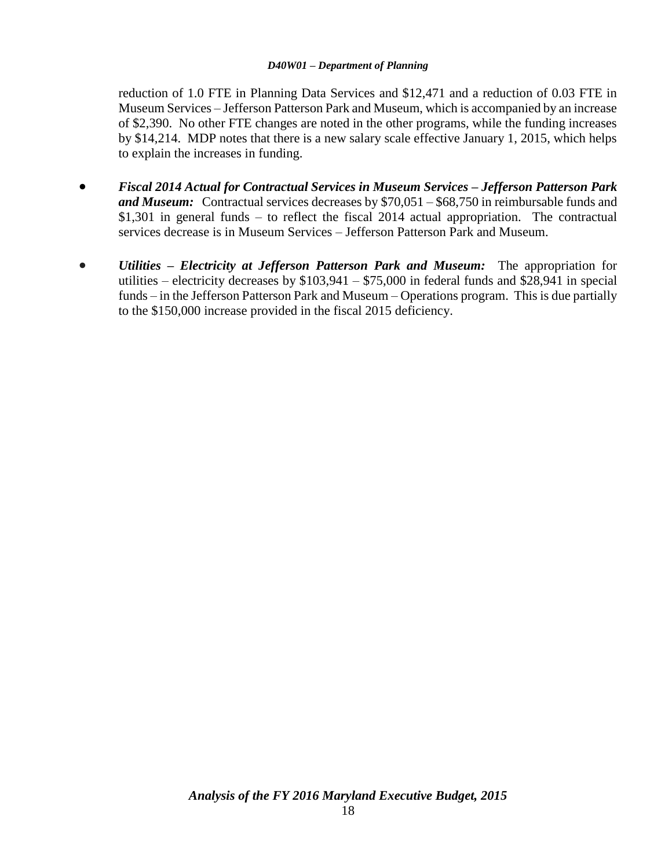reduction of 1.0 FTE in Planning Data Services and \$12,471 and a reduction of 0.03 FTE in Museum Services – Jefferson Patterson Park and Museum, which is accompanied by an increase of \$2,390. No other FTE changes are noted in the other programs, while the funding increases by \$14,214. MDP notes that there is a new salary scale effective January 1, 2015, which helps to explain the increases in funding.

- *Fiscal 2014 Actual for Contractual Services in Museum Services – Jefferson Patterson Park and Museum:* Contractual services decreases by \$70,051 – \$68,750 in reimbursable funds and \$1,301 in general funds – to reflect the fiscal 2014 actual appropriation. The contractual services decrease is in Museum Services – Jefferson Patterson Park and Museum.
- *Utilities – Electricity at Jefferson Patterson Park and Museum:* The appropriation for utilities – electricity decreases by  $$103,941 - $75,000$  in federal funds and  $$28,941$  in special funds – in the Jefferson Patterson Park and Museum – Operations program. This is due partially to the \$150,000 increase provided in the fiscal 2015 deficiency.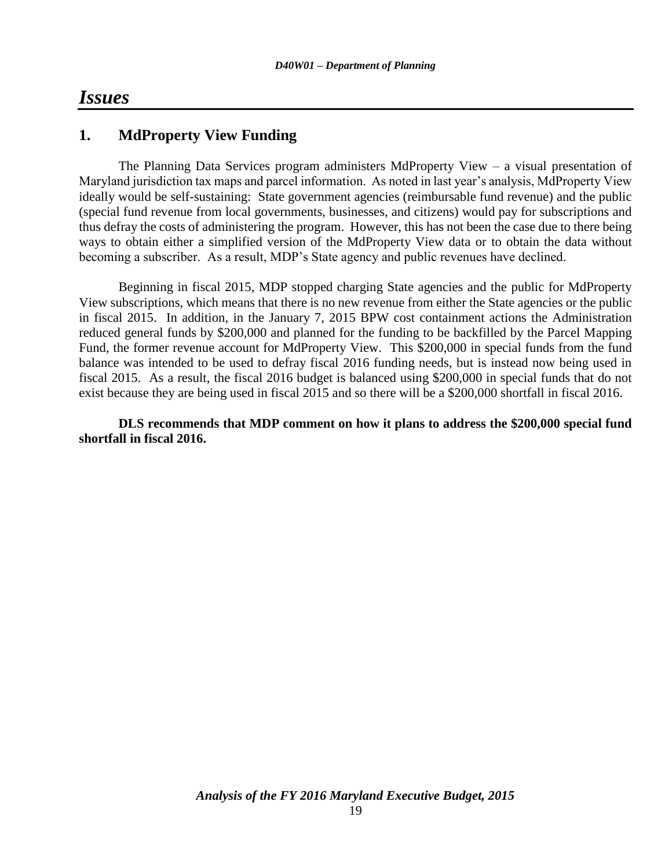## *Issues*

## **1. MdProperty View Funding**

The Planning Data Services program administers MdProperty View – a visual presentation of Maryland jurisdiction tax maps and parcel information. As noted in last year's analysis, MdProperty View ideally would be self-sustaining: State government agencies (reimbursable fund revenue) and the public (special fund revenue from local governments, businesses, and citizens) would pay for subscriptions and thus defray the costs of administering the program. However, this has not been the case due to there being ways to obtain either a simplified version of the MdProperty View data or to obtain the data without becoming a subscriber. As a result, MDP's State agency and public revenues have declined.

Beginning in fiscal 2015, MDP stopped charging State agencies and the public for MdProperty View subscriptions, which means that there is no new revenue from either the State agencies or the public in fiscal 2015. In addition, in the January 7, 2015 BPW cost containment actions the Administration reduced general funds by \$200,000 and planned for the funding to be backfilled by the Parcel Mapping Fund, the former revenue account for MdProperty View. This \$200,000 in special funds from the fund balance was intended to be used to defray fiscal 2016 funding needs, but is instead now being used in fiscal 2015. As a result, the fiscal 2016 budget is balanced using \$200,000 in special funds that do not exist because they are being used in fiscal 2015 and so there will be a \$200,000 shortfall in fiscal 2016.

**DLS recommends that MDP comment on how it plans to address the \$200,000 special fund shortfall in fiscal 2016.**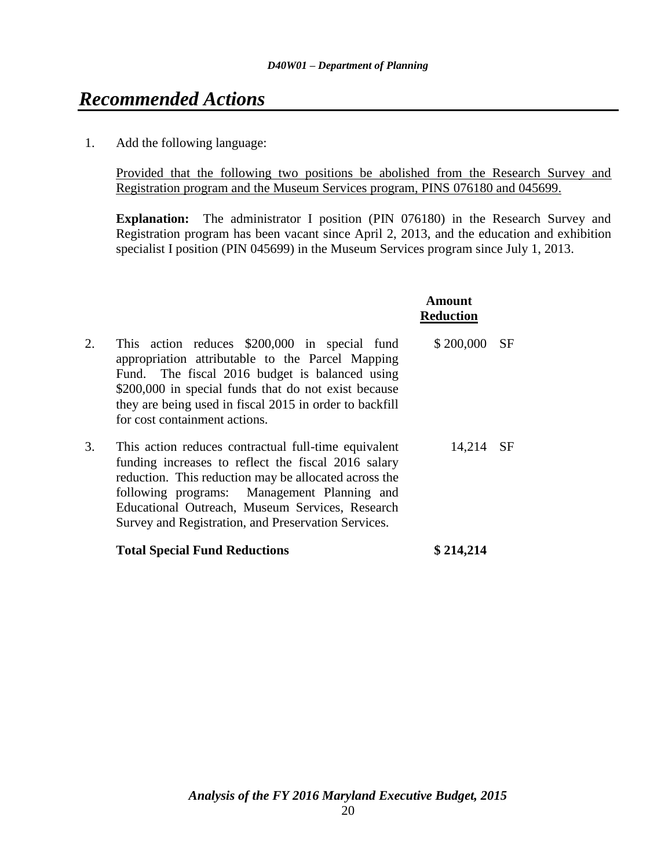## *Recommended Actions*

1. Add the following language:

Provided that the following two positions be abolished from the Research Survey and Registration program and the Museum Services program, PINS 076180 and 045699.

**Explanation:** The administrator I position (PIN 076180) in the Research Survey and Registration program has been vacant since April 2, 2013, and the education and exhibition specialist I position (PIN 045699) in the Museum Services program since July 1, 2013.

**Amount**

|    |                                                                                                                                                                                                                                                                                                                               | <b>Reduction</b> |           |
|----|-------------------------------------------------------------------------------------------------------------------------------------------------------------------------------------------------------------------------------------------------------------------------------------------------------------------------------|------------------|-----------|
| 2. | This action reduces \$200,000 in special fund<br>appropriation attributable to the Parcel Mapping<br>Fund. The fiscal 2016 budget is balanced using<br>\$200,000 in special funds that do not exist because<br>they are being used in fiscal 2015 in order to backfill<br>for cost containment actions.                       | \$200,000        | <b>SF</b> |
| 3. | This action reduces contractual full-time equivalent<br>funding increases to reflect the fiscal 2016 salary<br>reduction. This reduction may be allocated across the<br>following programs: Management Planning and<br>Educational Outreach, Museum Services, Research<br>Survey and Registration, and Preservation Services. | 14,214           | <b>SF</b> |

**Total Special Fund Reductions \$ 214,214**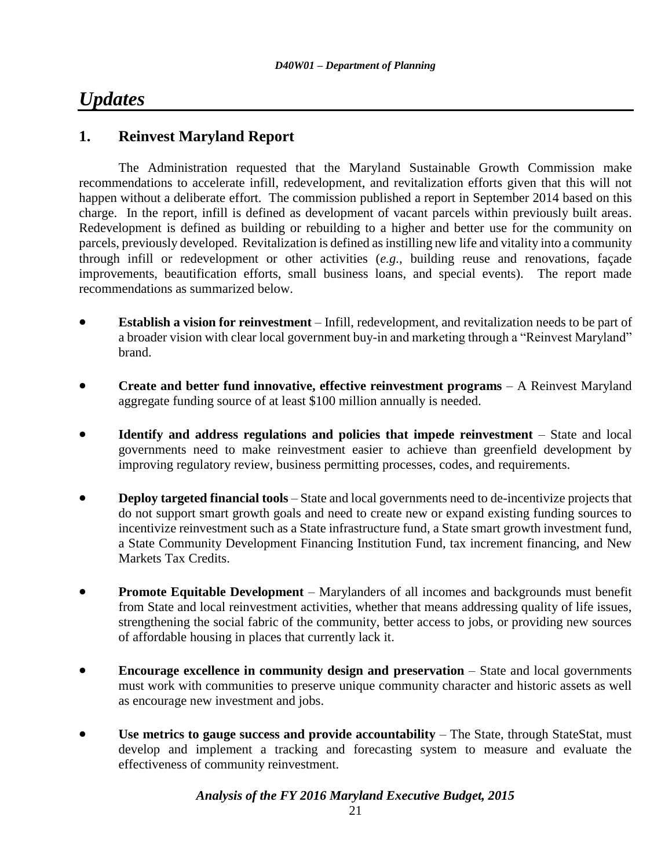## *Updates*

## **1. Reinvest Maryland Report**

The Administration requested that the Maryland Sustainable Growth Commission make recommendations to accelerate infill, redevelopment, and revitalization efforts given that this will not happen without a deliberate effort. The commission published a report in September 2014 based on this charge. In the report, infill is defined as development of vacant parcels within previously built areas. Redevelopment is defined as building or rebuilding to a higher and better use for the community on parcels, previously developed. Revitalization is defined as instilling new life and vitality into a community through infill or redevelopment or other activities (*e.g.,* building reuse and renovations, façade improvements, beautification efforts, small business loans, and special events). The report made recommendations as summarized below.

- **Establish a vision for reinvestment** Infill, redevelopment, and revitalization needs to be part of a broader vision with clear local government buy-in and marketing through a "Reinvest Maryland" brand.
- **Create and better fund innovative, effective reinvestment programs** A Reinvest Maryland aggregate funding source of at least \$100 million annually is needed.
- **Identify and address regulations and policies that impede reinvestment** State and local governments need to make reinvestment easier to achieve than greenfield development by improving regulatory review, business permitting processes, codes, and requirements.
- **•** Deploy targeted financial tools State and local governments need to de-incentivize projects that do not support smart growth goals and need to create new or expand existing funding sources to incentivize reinvestment such as a State infrastructure fund, a State smart growth investment fund, a State Community Development Financing Institution Fund, tax increment financing, and New Markets Tax Credits.
- **Promote Equitable Development** Marylanders of all incomes and backgrounds must benefit from State and local reinvestment activities, whether that means addressing quality of life issues, strengthening the social fabric of the community, better access to jobs, or providing new sources of affordable housing in places that currently lack it.
- **Encourage excellence in community design and preservation** State and local governments must work with communities to preserve unique community character and historic assets as well as encourage new investment and jobs.
- **Use metrics to gauge success and provide accountability** The State, through StateStat, must develop and implement a tracking and forecasting system to measure and evaluate the effectiveness of community reinvestment.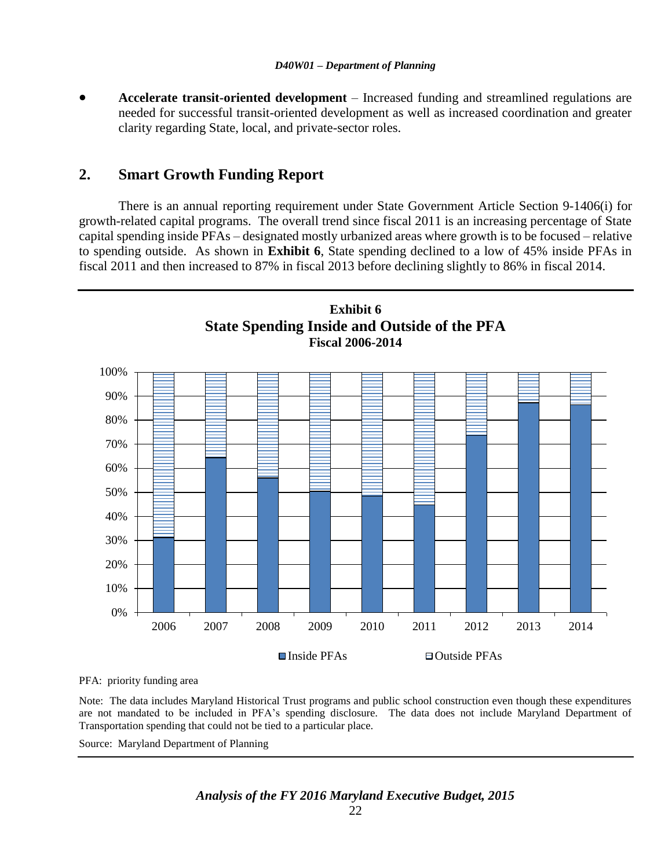**Accelerate transit-oriented development** – Increased funding and streamlined regulations are needed for successful transit-oriented development as well as increased coordination and greater clarity regarding State, local, and private-sector roles.

### **2. Smart Growth Funding Report**

There is an annual reporting requirement under State Government Article Section 9-1406(i) for growth-related capital programs. The overall trend since fiscal 2011 is an increasing percentage of State capital spending inside PFAs – designated mostly urbanized areas where growth is to be focused – relative to spending outside. As shown in **Exhibit 6**, State spending declined to a low of 45% inside PFAs in fiscal 2011 and then increased to 87% in fiscal 2013 before declining slightly to 86% in fiscal 2014.



PFA: priority funding area

Note: The data includes Maryland Historical Trust programs and public school construction even though these expenditures are not mandated to be included in PFA's spending disclosure. The data does not include Maryland Department of Transportation spending that could not be tied to a particular place.

Source: Maryland Department of Planning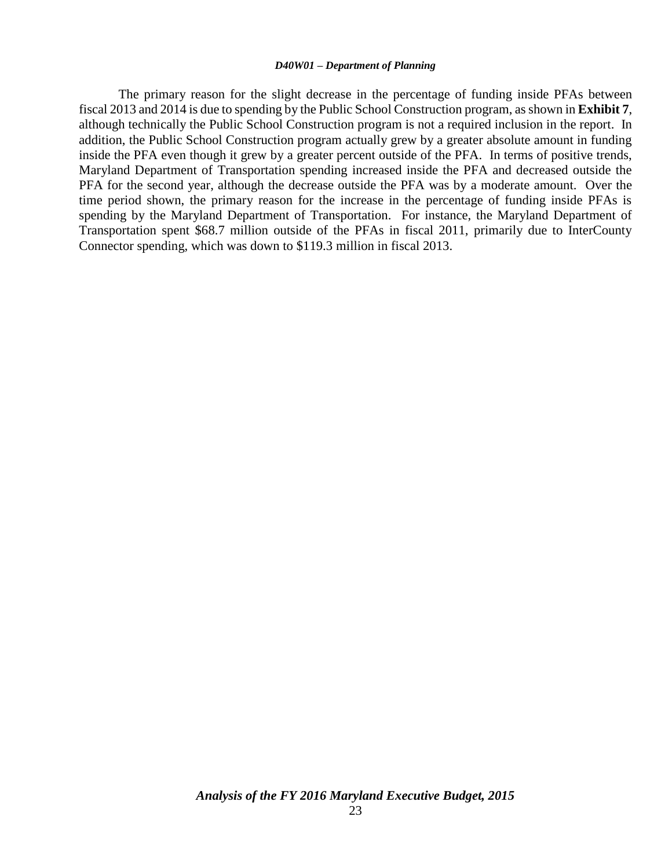The primary reason for the slight decrease in the percentage of funding inside PFAs between fiscal 2013 and 2014 is due to spending by the Public School Construction program, as shown in **Exhibit 7**, although technically the Public School Construction program is not a required inclusion in the report. In addition, the Public School Construction program actually grew by a greater absolute amount in funding inside the PFA even though it grew by a greater percent outside of the PFA. In terms of positive trends, Maryland Department of Transportation spending increased inside the PFA and decreased outside the PFA for the second year, although the decrease outside the PFA was by a moderate amount. Over the time period shown, the primary reason for the increase in the percentage of funding inside PFAs is spending by the Maryland Department of Transportation. For instance, the Maryland Department of Transportation spent \$68.7 million outside of the PFAs in fiscal 2011, primarily due to InterCounty Connector spending, which was down to \$119.3 million in fiscal 2013.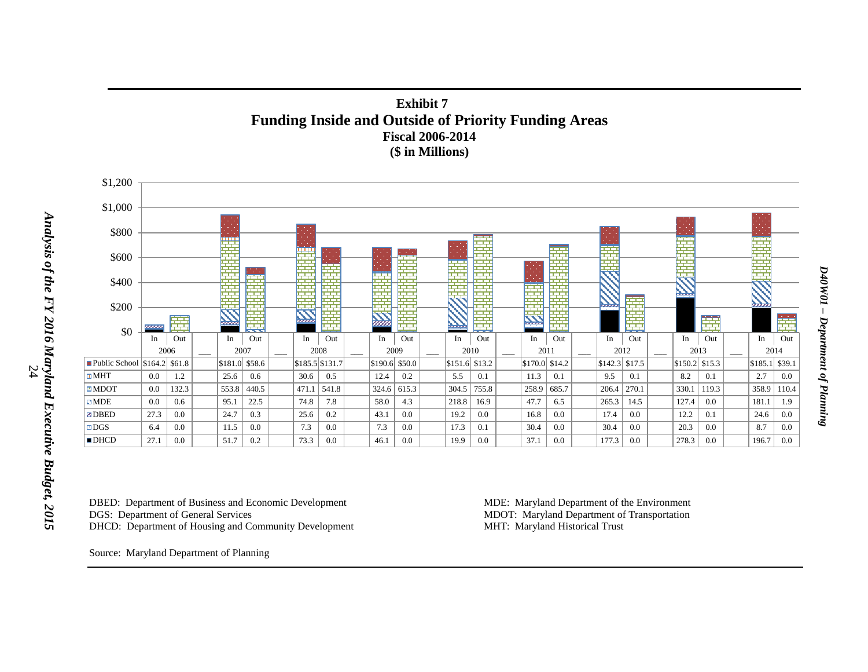



DBED: Department of Business and Economic Development MDE: Maryland Department of the Environment<br>DGS: Department of General Services MDOT: Maryland Department of Transportation DHCD: Department of Housing and Community Development

MDOT: Maryland Department of Transportation<br>MHT: Maryland Historical Trust

Source: Maryland Department of Planning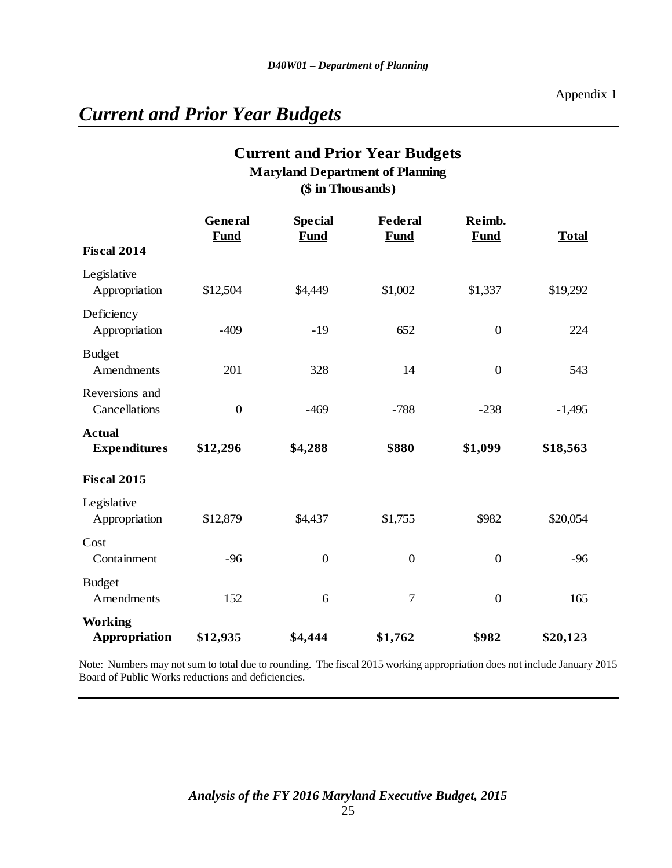# *Current and Prior Year Budgets*

## **Current and Prior Year Budgets (\$ in Thousands) Maryland Department of Planning**

|                                      | General<br><b>Fund</b> | <b>Special</b><br><b>Fund</b> | <b>Federal</b><br><b>Fund</b> | Reimb.<br><b>Fund</b> | <b>Total</b> |
|--------------------------------------|------------------------|-------------------------------|-------------------------------|-----------------------|--------------|
| <b>Fiscal 2014</b>                   |                        |                               |                               |                       |              |
| Legislative<br>Appropriation         | \$12,504               | \$4,449                       | \$1,002                       | \$1,337               | \$19,292     |
| Deficiency<br>Appropriation          | $-409$                 | $-19$                         | 652                           | $\mathbf{0}$          | 224          |
| <b>Budget</b><br>Amendments          | 201                    | 328                           | 14                            | $\boldsymbol{0}$      | 543          |
| Reversions and<br>Cancellations      | $\boldsymbol{0}$       | $-469$                        | $-788$                        | $-238$                | $-1,495$     |
| <b>Actual</b><br><b>Expenditures</b> | \$12,296               | \$4,288                       | \$880                         | \$1,099               | \$18,563     |
| <b>Fiscal 2015</b>                   |                        |                               |                               |                       |              |
| Legislative<br>Appropriation         | \$12,879               | \$4,437                       | \$1,755                       | \$982                 | \$20,054     |
| Cost<br>Containment                  | $-96$                  | $\boldsymbol{0}$              | $\boldsymbol{0}$              | $\boldsymbol{0}$      | $-96$        |
| <b>Budget</b><br>Amendments          | 152                    | 6                             | $\tau$                        | $\mathbf{0}$          | 165          |
| <b>Working</b><br>Appropriation      | \$12,935               | \$4,444                       | \$1,762                       | \$982                 | \$20,123     |

Note: Numbers may not sum to total due to rounding. The fiscal 2015 working appropriation does not include January 2015 Board of Public Works reductions and deficiencies.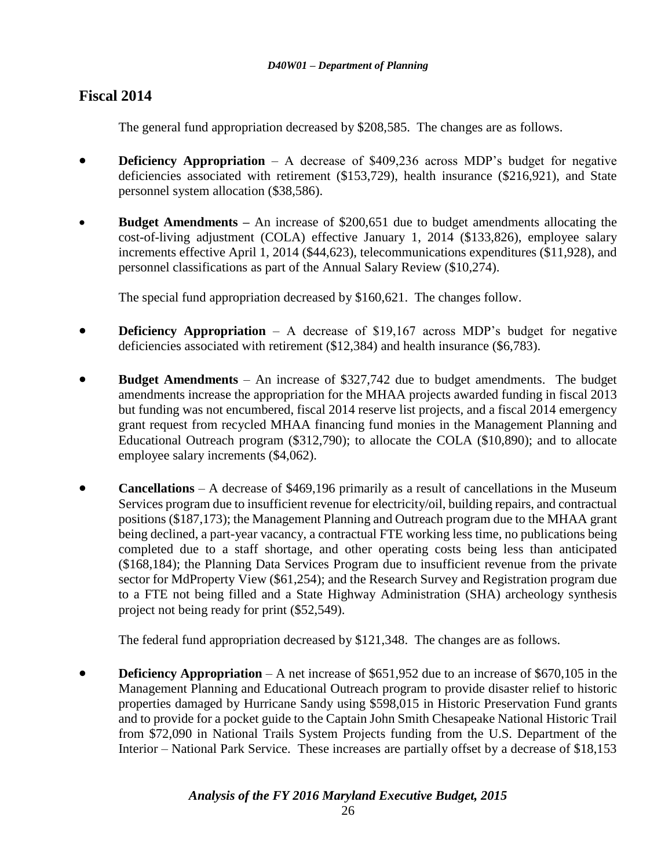## **Fiscal 2014**

The general fund appropriation decreased by \$208,585. The changes are as follows.

- **• Deficiency Appropriation** A decrease of \$409,236 across MDP's budget for negative deficiencies associated with retirement (\$153,729), health insurance (\$216,921), and State personnel system allocation (\$38,586).
- **Budget Amendments –** An increase of \$200,651 due to budget amendments allocating the cost-of-living adjustment (COLA) effective January 1, 2014 (\$133,826), employee salary increments effective April 1, 2014 (\$44,623), telecommunications expenditures (\$11,928), and personnel classifications as part of the Annual Salary Review (\$10,274).

The special fund appropriation decreased by \$160,621. The changes follow.

- **Deficiency Appropriation** A decrease of \$19,167 across MDP's budget for negative deficiencies associated with retirement (\$12,384) and health insurance (\$6,783).
- **Budget Amendments** An increase of \$327,742 due to budget amendments. The budget amendments increase the appropriation for the MHAA projects awarded funding in fiscal 2013 but funding was not encumbered, fiscal 2014 reserve list projects, and a fiscal 2014 emergency grant request from recycled MHAA financing fund monies in the Management Planning and Educational Outreach program (\$312,790); to allocate the COLA (\$10,890); and to allocate employee salary increments (\$4,062).
- **Cancellations** A decrease of \$469,196 primarily as a result of cancellations in the Museum Services program due to insufficient revenue for electricity/oil, building repairs, and contractual positions (\$187,173); the Management Planning and Outreach program due to the MHAA grant being declined, a part-year vacancy, a contractual FTE working less time, no publications being completed due to a staff shortage, and other operating costs being less than anticipated (\$168,184); the Planning Data Services Program due to insufficient revenue from the private sector for MdProperty View (\$61,254); and the Research Survey and Registration program due to a FTE not being filled and a State Highway Administration (SHA) archeology synthesis project not being ready for print (\$52,549).

The federal fund appropriation decreased by \$121,348. The changes are as follows.

**Deficiency Appropriation** – A net increase of \$651,952 due to an increase of \$670,105 in the Management Planning and Educational Outreach program to provide disaster relief to historic properties damaged by Hurricane Sandy using \$598,015 in Historic Preservation Fund grants and to provide for a pocket guide to the Captain John Smith Chesapeake National Historic Trail from \$72,090 in National Trails System Projects funding from the U.S. Department of the Interior – National Park Service. These increases are partially offset by a decrease of \$18,153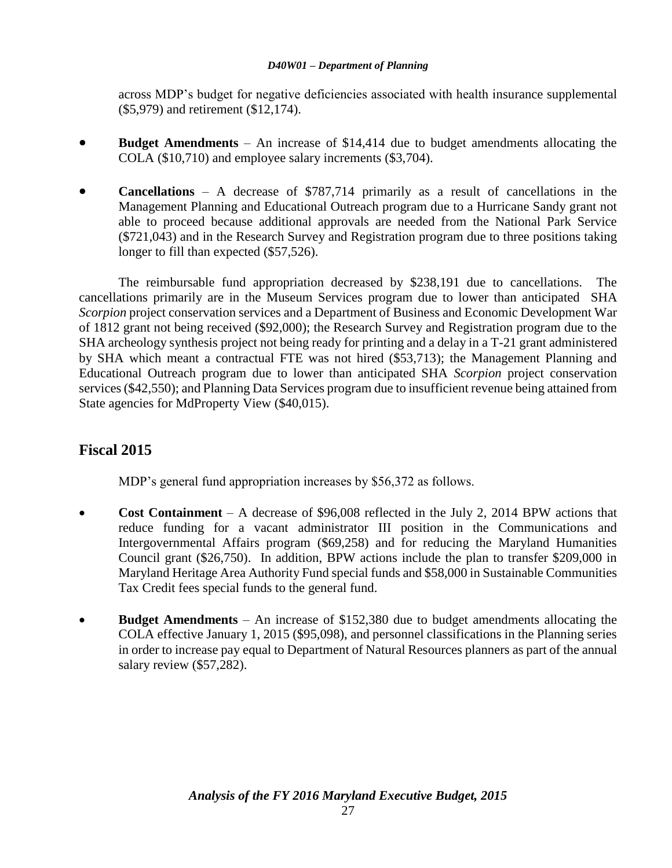across MDP's budget for negative deficiencies associated with health insurance supplemental (\$5,979) and retirement (\$12,174).

- **Budget Amendments** An increase of \$14,414 due to budget amendments allocating the COLA (\$10,710) and employee salary increments (\$3,704).
- **Cancellations** A decrease of \$787,714 primarily as a result of cancellations in the Management Planning and Educational Outreach program due to a Hurricane Sandy grant not able to proceed because additional approvals are needed from the National Park Service (\$721,043) and in the Research Survey and Registration program due to three positions taking longer to fill than expected (\$57,526).

The reimbursable fund appropriation decreased by \$238,191 due to cancellations. The cancellations primarily are in the Museum Services program due to lower than anticipated SHA *Scorpion* project conservation services and a Department of Business and Economic Development War of 1812 grant not being received (\$92,000); the Research Survey and Registration program due to the SHA archeology synthesis project not being ready for printing and a delay in a T-21 grant administered by SHA which meant a contractual FTE was not hired (\$53,713); the Management Planning and Educational Outreach program due to lower than anticipated SHA *Scorpion* project conservation services (\$42,550); and Planning Data Services program due to insufficient revenue being attained from State agencies for MdProperty View (\$40,015).

## **Fiscal 2015**

MDP's general fund appropriation increases by \$56,372 as follows.

- **Cost Containment** A decrease of \$96,008 reflected in the July 2, 2014 BPW actions that reduce funding for a vacant administrator III position in the Communications and Intergovernmental Affairs program (\$69,258) and for reducing the Maryland Humanities Council grant (\$26,750). In addition, BPW actions include the plan to transfer \$209,000 in Maryland Heritage Area Authority Fund special funds and \$58,000 in Sustainable Communities Tax Credit fees special funds to the general fund.
- **Budget Amendments** An increase of \$152,380 due to budget amendments allocating the COLA effective January 1, 2015 (\$95,098), and personnel classifications in the Planning series in order to increase pay equal to Department of Natural Resources planners as part of the annual salary review (\$57,282).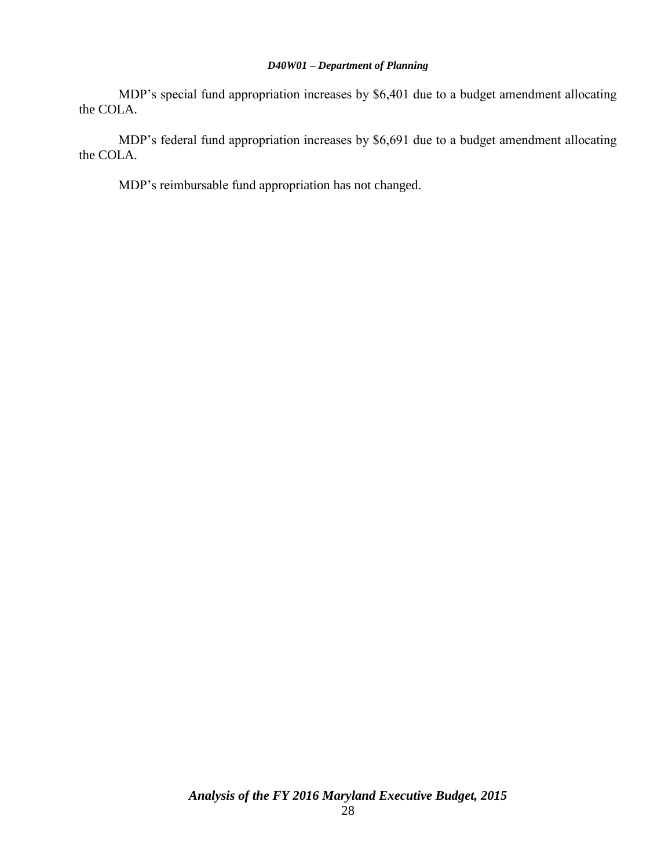MDP's special fund appropriation increases by \$6,401 due to a budget amendment allocating the COLA.

MDP's federal fund appropriation increases by \$6,691 due to a budget amendment allocating the COLA.

MDP's reimbursable fund appropriation has not changed.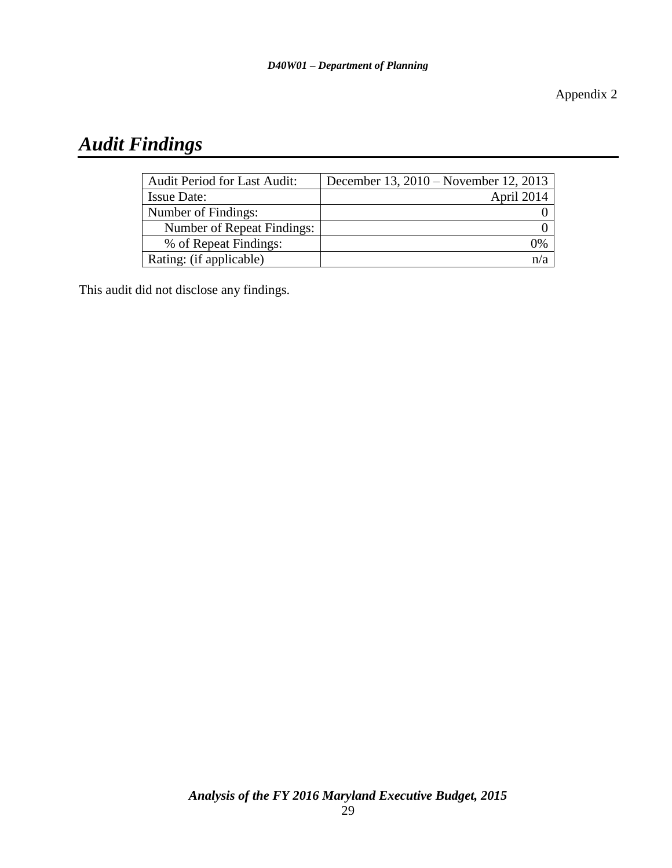Appendix 2

# *Audit Findings*

| <b>Audit Period for Last Audit:</b> | December 13, 2010 – November 12, 2013 |
|-------------------------------------|---------------------------------------|
| <b>Issue Date:</b>                  | April 2014                            |
| Number of Findings:                 |                                       |
| Number of Repeat Findings:          |                                       |
| % of Repeat Findings:               | $\rm 9\%$                             |
| Rating: (if applicable)             |                                       |

This audit did not disclose any findings.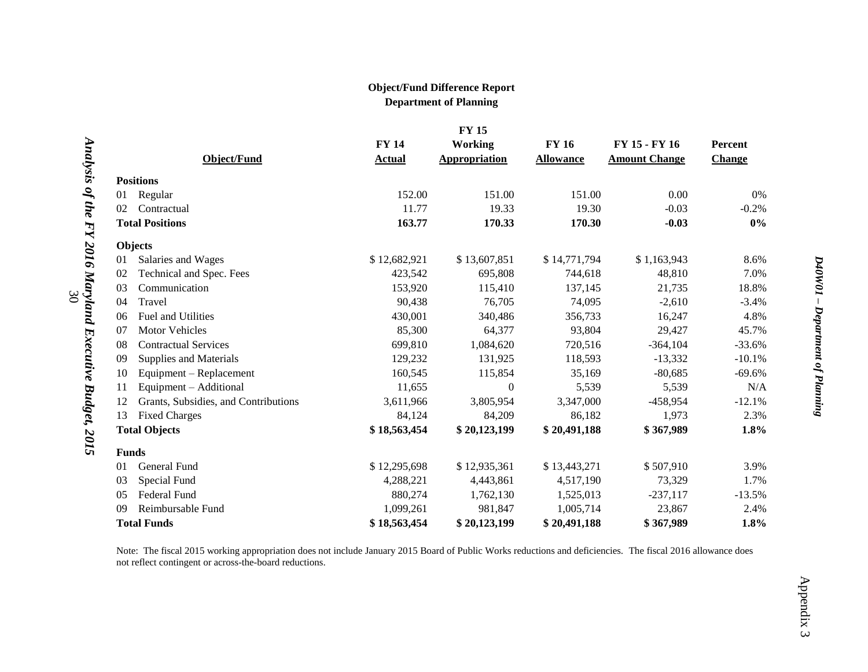#### **Object/Fund Difference Report Department of Planning**

|    |                                      |               | <b>FY 15</b>         |                  |                      |               |
|----|--------------------------------------|---------------|----------------------|------------------|----------------------|---------------|
|    |                                      | <b>FY 14</b>  | <b>Working</b>       | <b>FY 16</b>     | FY 15 - FY 16        | Percent       |
|    | Object/Fund                          | <b>Actual</b> | <b>Appropriation</b> | <b>Allowance</b> | <b>Amount Change</b> | <b>Change</b> |
|    | <b>Positions</b>                     |               |                      |                  |                      |               |
| 01 | Regular                              | 152.00        | 151.00               | 151.00           | 0.00                 | $0\%$         |
| 02 | Contractual                          | 11.77         | 19.33                | 19.30            | $-0.03$              | $-0.2%$       |
|    | <b>Total Positions</b>               | 163.77        | 170.33               | 170.30           | $-0.03$              | $0\%$         |
|    | <b>Objects</b>                       |               |                      |                  |                      |               |
| 01 | Salaries and Wages                   | \$12,682,921  | \$13,607,851         | \$14,771,794     | \$1,163,943          | 8.6%          |
| 02 | Technical and Spec. Fees             | 423,542       | 695,808              | 744,618          | 48,810               | 7.0%          |
| 03 | Communication                        | 153,920       | 115,410              | 137,145          | 21,735               | 18.8%         |
| 04 | Travel                               | 90,438        | 76,705               | 74,095           | $-2,610$             | $-3.4%$       |
| 06 | Fuel and Utilities                   | 430,001       | 340,486              | 356,733          | 16,247               | 4.8%          |
| 07 | <b>Motor Vehicles</b>                | 85,300        | 64,377               | 93,804           | 29,427               | 45.7%         |
| 08 | <b>Contractual Services</b>          | 699,810       | 1,084,620            | 720,516          | $-364,104$           | $-33.6%$      |
| 09 | <b>Supplies and Materials</b>        | 129,232       | 131,925              | 118,593          | $-13,332$            | $-10.1%$      |
| 10 | Equipment - Replacement              | 160,545       | 115,854              | 35,169           | $-80,685$            | $-69.6%$      |
| 11 | Equipment - Additional               | 11,655        | $\Omega$             | 5,539            | 5,539                | N/A           |
| 12 | Grants, Subsidies, and Contributions | 3,611,966     | 3,805,954            | 3,347,000        | $-458,954$           | $-12.1%$      |
| 13 | <b>Fixed Charges</b>                 | 84,124        | 84,209               | 86,182           | 1,973                | 2.3%          |
|    | <b>Total Objects</b>                 | \$18,563,454  | \$20,123,199         | \$20,491,188     | \$367,989            | 1.8%          |
|    | <b>Funds</b>                         |               |                      |                  |                      |               |
| 01 | General Fund                         | \$12,295,698  | \$12,935,361         | \$13,443,271     | \$507,910            | 3.9%          |
| 03 | Special Fund                         | 4,288,221     | 4,443,861            | 4,517,190        | 73,329               | 1.7%          |
| 05 | Federal Fund                         | 880,274       | 1,762,130            | 1,525,013        | $-237,117$           | $-13.5%$      |
| 09 | Reimbursable Fund                    | 1,099,261     | 981,847              | 1,005,714        | 23,867               | 2.4%          |
|    | <b>Total Funds</b>                   | \$18,563,454  | \$20,123,199         | \$20,491,188     | \$367,989            | 1.8%          |

30

Note: The fiscal 2015 working appropriation does not include January 2015 Board of Public Works reductions and deficiencies. The fiscal 2016 allowance does not reflect contingent or across-the-board reductions.